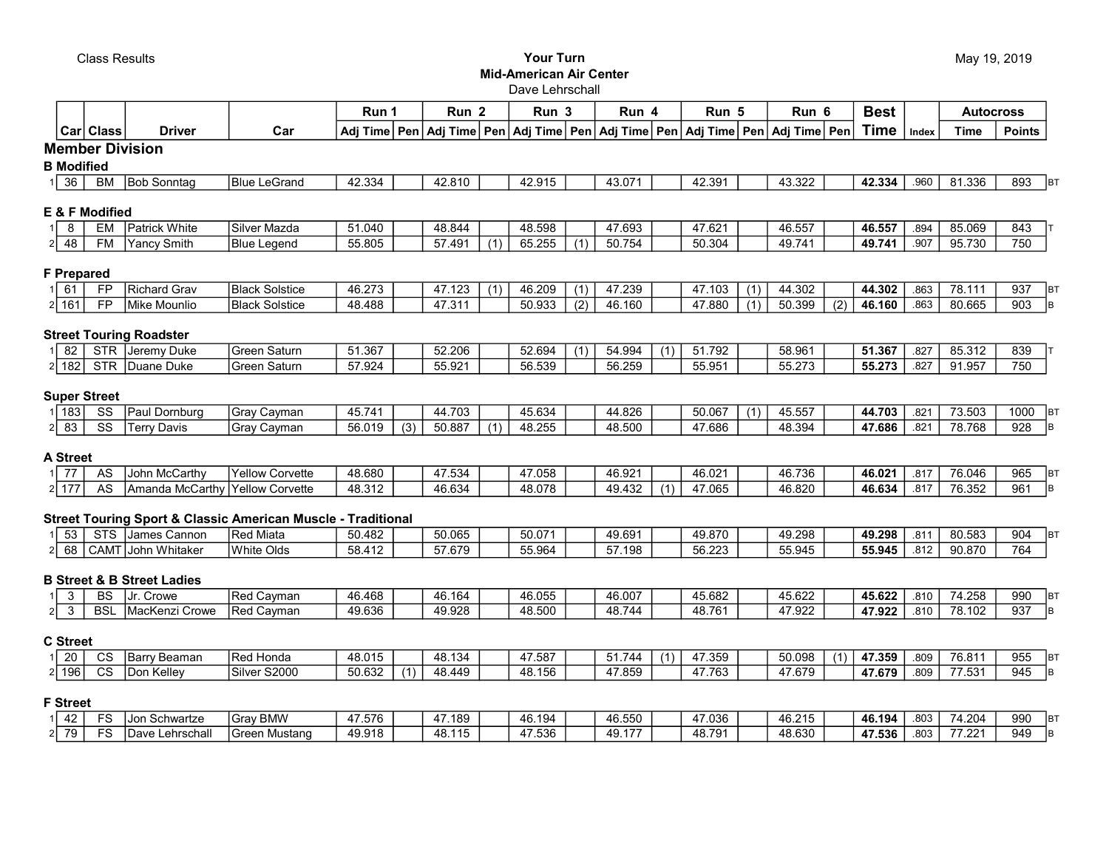## Class Results Your Turn Mid-American Air Center Dave Lehrschall

|                    |                        |                                       |                                                                         | Run 1          |     | Run <sub>2</sub> |                  | Run <sub>3</sub>                |                  | Run 4  |     | Run 5                                            |     | Run 6  |     | <b>Best</b> |       | <b>Autocross</b> |               |           |
|--------------------|------------------------|---------------------------------------|-------------------------------------------------------------------------|----------------|-----|------------------|------------------|---------------------------------|------------------|--------|-----|--------------------------------------------------|-----|--------|-----|-------------|-------|------------------|---------------|-----------|
|                    | Car Class              | <b>Driver</b>                         | Car                                                                     | Adj Time   Pen |     |                  |                  | Adj Time   Pen   Adj Time   Pen |                  |        |     | Adj Time   Pen   Adj Time   Pen   Adj Time   Pen |     |        |     | <b>Time</b> | Index | <b>Time</b>      | <b>Points</b> |           |
|                    | <b>Member Division</b> |                                       |                                                                         |                |     |                  |                  |                                 |                  |        |     |                                                  |     |        |     |             |       |                  |               |           |
| <b>B</b> Modified  |                        |                                       |                                                                         |                |     |                  |                  |                                 |                  |        |     |                                                  |     |        |     |             |       |                  |               |           |
| 36                 | BM                     | <b>Bob Sonntag</b>                    | <b>Blue LeGrand</b>                                                     | 42.334         |     | 42.810           |                  | 42.915                          |                  | 43.071 |     | 42.391                                           |     | 43.322 |     | 42.334      | .960  | 81.336           | 893           | BT        |
|                    | E & F Modified         |                                       |                                                                         |                |     |                  |                  |                                 |                  |        |     |                                                  |     |        |     |             |       |                  |               |           |
| 8                  | EM                     | lPatrick White                        | Silver Mazda                                                            | 51.040         |     | 48.844           |                  | 48.598                          |                  | 47.693 |     | 47.621                                           |     | 46.557 |     | 46.557      | .894  | 85.069           | 843           |           |
| 48                 | <b>FM</b>              | Yancy Smith                           | <b>Blue Legend</b>                                                      | 55.805         |     | 57.491           | $\overline{(1)}$ | 65.255                          | (1)              | 50.754 |     | 50.304                                           |     | 49.741 |     | 49.741      | .907  | 95.730           | 750           |           |
| <b>F</b> Prepared  |                        |                                       |                                                                         |                |     |                  |                  |                                 |                  |        |     |                                                  |     |        |     |             |       |                  |               |           |
| $1 \overline{61}$  | <b>FP</b>              | Richard Grav                          | <b>Black Solstice</b>                                                   | 46.273         |     | 47.123           | (1)              | 46.209                          | (1)              | 47.239 |     | 47.103                                           | (1) | 44.302 |     | 44.302      | .863  | 78.111           | 937           | <b>BT</b> |
| 2 161              | $\overline{FP}$        | Mike Mounlio                          | <b>Black Solstice</b>                                                   | 48.488         |     | 47.311           |                  | 50.933                          | $\overline{(2)}$ | 46.160 |     | 47.880                                           | (1) | 50.399 | (2) | 46.160      | .863  | 80.665           | 903           | lв        |
|                    |                        | <b>Street Touring Roadster</b>        |                                                                         |                |     |                  |                  |                                 |                  |        |     |                                                  |     |        |     |             |       |                  |               |           |
| 82                 |                        | STR Jeremy Duke                       | <b>Green Saturn</b>                                                     | 51.367         |     | 52.206           |                  | 52.694                          | (1)              | 54.994 | (1) | 51.792                                           |     | 58.961 |     | 51.367      | .827  | 85.312           | 839           |           |
| $2 \overline{182}$ |                        | STR Duane Duke                        | Green Saturn                                                            | 57.924         |     | 55.921           |                  | 56.539                          |                  | 56.259 |     | 55.951                                           |     | 55.273 |     | 55.273      | .827  | 91.957           | 750           |           |
|                    | <b>Super Street</b>    |                                       |                                                                         |                |     |                  |                  |                                 |                  |        |     |                                                  |     |        |     |             |       |                  |               |           |
| 1 183              | SS                     | Paul Dornburg                         | Gray Cayman                                                             | 45.741         |     | 44.703           |                  | 45.634                          |                  | 44.826 |     | 50.067                                           | (1) | 45.557 |     | 44.703      | .821  | 73.503           | 1000          | BT        |
| 83                 | $\overline{\text{ss}}$ | Terry Davis                           | Gray Cayman                                                             | 56.019         | (3) | 50.887           | (1)              | 48.255                          |                  | 48.500 |     | 47.686                                           |     | 48.394 |     | 47.686      | .821  | 78.768           | 928           | lв        |
| <b>A Street</b>    |                        |                                       |                                                                         |                |     |                  |                  |                                 |                  |        |     |                                                  |     |        |     |             |       |                  |               |           |
| 77                 | AS                     | John McCarthy                         | Yellow Corvette                                                         | 48.680         |     | 47.534           |                  | 47.058                          |                  | 46.921 |     | 46.021                                           |     | 46.736 |     | 46.021      | .817  | 76.046           | 965           | BT        |
| 2 177              | AS                     | Amanda McCarthy Yellow Corvette       |                                                                         | 48.312         |     | 46.634           |                  | 48.078                          |                  | 49.432 | (1) | 47.065                                           |     | 46.820 |     | 46.634      | .817  | 76.352           | 961           | lв        |
|                    |                        |                                       | <b>Street Touring Sport &amp; Classic American Muscle - Traditional</b> |                |     |                  |                  |                                 |                  |        |     |                                                  |     |        |     |             |       |                  |               |           |
| 53                 |                        | STS James Cannon                      | Red Miata                                                               | 50.482         |     | 50.065           |                  | 50.071                          |                  | 49.691 |     | 49.870                                           |     | 49.298 |     | 49.298      | .811  | 80.583           | 904           | BT        |
| 68                 |                        | CAMT John Whitaker                    | <b>White Olds</b>                                                       | 58.412         |     | 57.679           |                  | 55.964                          |                  | 57.198 |     | 56.223                                           |     | 55.945 |     | 55.945      | .812  | 90.870           | 764           |           |
|                    |                        | <b>B Street &amp; B Street Ladies</b> |                                                                         |                |     |                  |                  |                                 |                  |        |     |                                                  |     |        |     |             |       |                  |               |           |
| 3                  | <b>BS</b>              | Jr. Crowe                             | Red Cayman                                                              | 46.468         |     | 46.164           |                  | 46.055                          |                  | 46.007 |     | 45.682                                           |     | 45.622 |     | 45.622      | .810  | 74.258           | 990           | <b>BT</b> |
| 3                  | <b>BSL</b>             | MacKenzi Crowe                        | Red Cayman                                                              | 49.636         |     | 49.928           |                  | 48.500                          |                  | 48.744 |     | 48.761                                           |     | 47.922 |     | 47.922      | .810  | 78.102           | 937           | lв        |
| <b>C</b> Street    |                        |                                       |                                                                         |                |     |                  |                  |                                 |                  |        |     |                                                  |     |        |     |             |       |                  |               |           |
| 20                 | CS                     | Barry Beaman                          | Red Honda                                                               | 48.015         |     | 48.134           |                  | 47.587                          |                  | 51.744 | (1) | 47.359                                           |     | 50.098 | (1) | 47.359      | .809  | 76.811           | 955           | <b>BT</b> |
| 2 196              | $\overline{\text{cs}}$ | Don Kelley                            | Silver S2000                                                            | 50.632         | (1) | 48.449           |                  | 48.156                          |                  | 47.859 |     | 47.763                                           |     | 47.679 |     | 47.679      | .809  | 77.531           | 945           | lв        |
| <b>F</b> Street    |                        |                                       |                                                                         |                |     |                  |                  |                                 |                  |        |     |                                                  |     |        |     |             |       |                  |               |           |

|    |    | $\Gamma$  | Schwartze<br>'Jon  | <b>BMW</b><br>ाजवा        | 47.576 | $\sim$<br>189                                | 46.194                                        | 46.550               | 7.036        | ACOAP<br>4 <sup>h</sup><br>־<br>w<br>−∪.∠ | 46.194 | .803 | /4.204            | 990 |  |
|----|----|-----------|--------------------|---------------------------|--------|----------------------------------------------|-----------------------------------------------|----------------------|--------------|-------------------------------------------|--------|------|-------------------|-----|--|
| າເ | 70 | <b>CC</b> | Lehrschal<br>.Dave | Mustang<br>∸roor<br>JI CC | 49.918 | $\overline{\phantom{a}}$<br><b>AAF</b><br>тv | $\Gamma$<br>7.536<br>$\overline{\phantom{a}}$ | 49 177<br>тυ.<br>. . | 70۰ ه<br>.טי | 48.630                                    | 47.536 | .803 | $- - - -$<br>.221 | 949 |  |